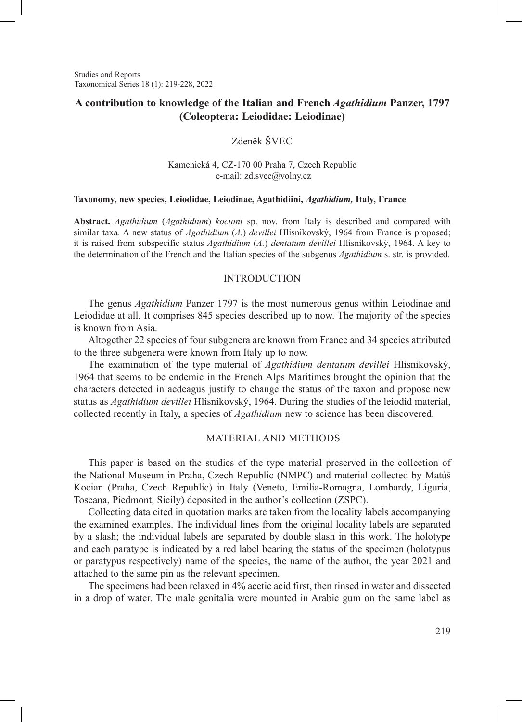Studies and Reports Taxonomical Series 18 (1): 219-228, 2022

# **A contribution to knowledge of the Italian and French** *Agathidium* **Panzer, 1797 (Coleoptera: Leiodidae: Leiodinae)**

## Zdeněk ŠVEC

### Kamenická 4, CZ-170 00 Praha 7, Czech Republic e-mail: zd.svec@volny.cz

#### **Taxonomy, new species, Leiodidae, Leiodinae, Agathidiini,** *Agathidium,* **Italy, France**

**Abstract.** *Agathidium* (*Agathidium*) *kociani* sp. nov. from Italy is described and compared with similar taxa. A new status of *Agathidium* (*A.*) *devillei* Hlisnikovský, 1964 from France is proposed; it is raised from subspecific status *Agathidium* (*A.*) *dentatum devillei* Hlisnikovský, 1964. A key to the determination of the French and the Italian species of the subgenus *Agathidium* s. str. is provided.

#### INTRODUCTION

The genus *Agathidium* Panzer 1797 is the most numerous genus within Leiodinae and Leiodidae at all. It comprises 845 species described up to now. The majority of the species is known from Asia.

Altogether 22 species of four subgenera are known from France and 34 species attributed to the three subgenera were known from Italy up to now.

The examination of the type material of *Agathidium dentatum devillei* Hlisnikovský, 1964 that seems to be endemic in the French Alps Maritimes brought the opinion that the characters detected in aedeagus justify to change the status of the taxon and propose new status as *Agathidium devillei* Hlisnikovský, 1964. During the studies of the leiodid material, collected recently in Italy, a species of *Agathidium* new to science has been discovered.

### MATERIAL AND METHODS

This paper is based on the studies of the type material preserved in the collection of the National Museum in Praha, Czech Republic (NMPC) and material collected by Matúš Kocian (Praha, Czech Republic) in Italy (Veneto, Emilia-Romagna, Lombardy, Liguria, Toscana, Piedmont, Sicily) deposited in the author's collection (ZSPC).

Collecting data cited in quotation marks are taken from the locality labels accompanying the examined examples. The individual lines from the original locality labels are separated by a slash; the individual labels are separated by double slash in this work. The holotype and each paratype is indicated by a red label bearing the status of the specimen (holotypus or paratypus respectively) name of the species, the name of the author, the year 2021 and attached to the same pin as the relevant specimen.

The specimens had been relaxed in 4% acetic acid first, then rinsed in water and dissected in a drop of water. The male genitalia were mounted in Arabic gum on the same label as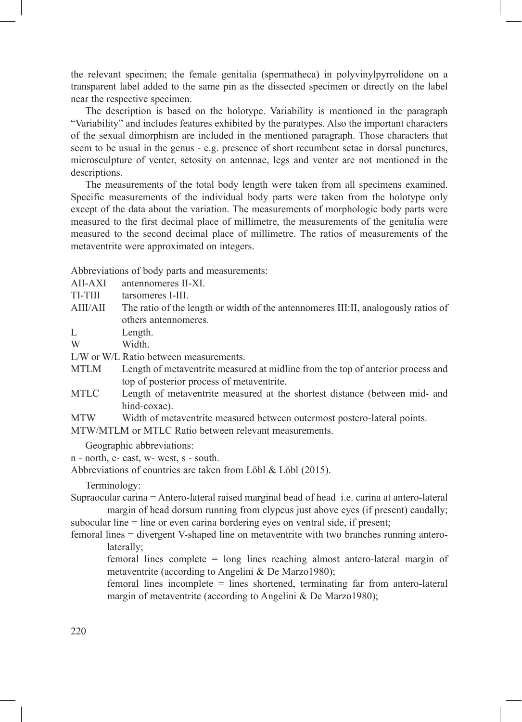the relevant specimen; the female genitalia (spermatheca) in polyvinylpyrrolidone on a transparent label added to the same pin as the dissected specimen or directly on the label near the respective specimen.

The description is based on the holotype. Variability is mentioned in the paragraph "Variability" and includes features exhibited by the paratypes. Also the important characters of the sexual dimorphism are included in the mentioned paragraph. Those characters that seem to be usual in the genus - e.g. presence of short recumbent setae in dorsal punctures, microsculpture of venter, setosity on antennae, legs and venter are not mentioned in the descriptions.

The measurements of the total body length were taken from all specimens examined. Specific measurements of the individual body parts were taken from the holotype only except of the data about the variation. The measurements of morphologic body parts were measured to the first decimal place of millimetre, the measurements of the genitalia were measured to the second decimal place of millimetre. The ratios of measurements of the metaventrite were approximated on integers.

Abbreviations of body parts and measurements:

- AII-AXI antennomeres II-XI.
- TI-TIII tarsomeres I-III.
- AIII/AII The ratio of the length or width of the antennomeres III:II, analogously ratios of others antennomeres.

L Length.

W Width

L/W or W/L Ratio between measurements.

- MTLM Length of metaventrite measured at midline from the top of anterior process and top of posterior process of metaventrite.
- MTLC Length of metaventrite measured at the shortest distance (between mid- and hind-coxae).
- MTW Width of metaventrite measured between outermost postero-lateral points.
- MTW/MTLM or MTLC Ratio between relevant measurements.

Geographic abbreviations:

n - north, e- east, w- west, s - south.

Abbreviations of countries are taken from Löbl & Löbl (2015).

Terminology:

Supraocular carina = Antero-lateral raised marginal bead of head i.e. carina at antero-lateral margin of head dorsum running from clypeus just above eyes (if present) caudally; subocular line = line or even carina bordering eyes on ventral side, if present;

femoral lines = divergent V-shaped line on metaventrite with two branches running antero-

laterally;

femoral lines complete = long lines reaching almost antero-lateral margin of metaventrite (according to Angelini & De Marzo1980);

femoral lines incomplete = lines shortened, terminating far from antero-lateral margin of metaventrite (according to Angelini & De Marzo1980);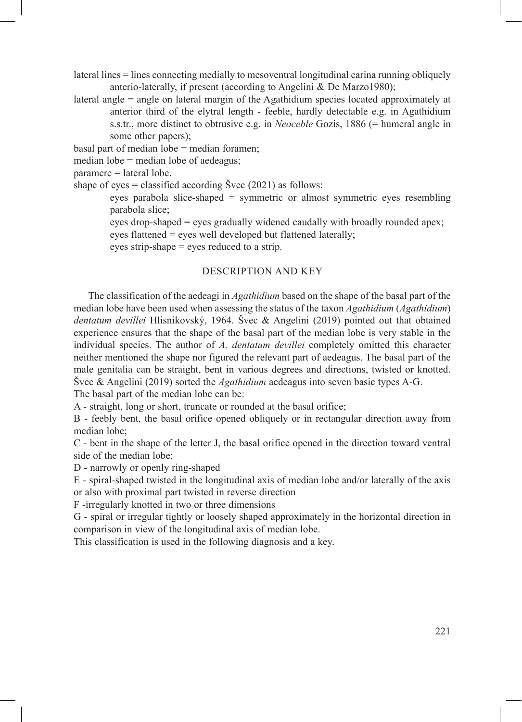lateral lines = lines connecting medially to mesoventral longitudinal carina running obliquely anterio-laterally, if present (according to Angelini & De Marzo1980);

lateral angle = angle on lateral margin of the Agathidium species located approximately at anterior third of the elytral length - feeble, hardly detectable e.g. in Agathidium s.s.tr., more distinct to obtrusive e.g. in *Neoceble* Gozis, 1886 (= humeral angle in some other papers);

basal part of median lobe = median foramen;

median lobe = median lobe of aedeagus;

paramere = lateral lobe.

shape of eyes  $=$  classified according Švec (2021) as follows:

eyes parabola slice-shaped = symmetric or almost symmetric eyes resembling parabola slice;

eyes drop-shaped = eyes gradually widened caudally with broadly rounded apex; eyes flattened = eyes well developed but flattened laterally;

eyes strip-shape = eyes reduced to a strip.

### DESCRIPTION AND KEY

The classification of the aedeagi in *Agathidium* based on the shape of the basal part of the median lobe have been used when assessing the status of the taxon *Agathidium* (*Agathidium*) *dentatum devillei* Hlisnikovský, 1964. Švec & Angelini (2019) pointed out that obtained experience ensures that the shape of the basal part of the median lobe is very stable in the individual species. The author of *A. dentatum devillei* completely omitted this character neither mentioned the shape nor figured the relevant part of aedeagus. The basal part of the male genitalia can be straight, bent in various degrees and directions, twisted or knotted. Švec & Angelini (2019) sorted the *Agathidium* aedeagus into seven basic types A-G. The basal part of the median lobe can be:

A - straight, long or short, truncate or rounded at the basal orifice;

B - feebly bent, the basal orifice opened obliquely or in rectangular direction away from median lobe;

C - bent in the shape of the letter J, the basal orifice opened in the direction toward ventral side of the median lobe;

D - narrowly or openly ring-shaped

E - spiral-shaped twisted in the longitudinal axis of median lobe and/or laterally of the axis or also with proximal part twisted in reverse direction

F -irregularly knotted in two or three dimensions

G - spiral or irregular tightly or loosely shaped approximately in the horizontal direction in comparison in view of the longitudinal axis of median lobe.

This classification is used in the following diagnosis and a key.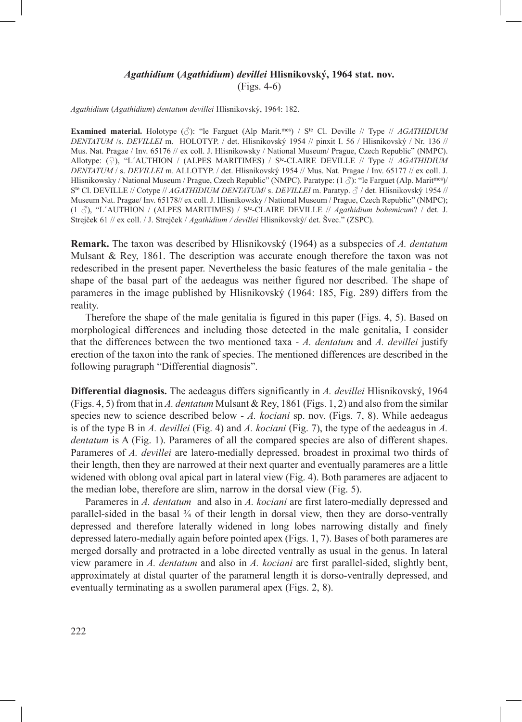# *Agathidium* **(***Agathidium***)** *devillei* **Hlisnikovský, 1964 stat. nov.** (Figs. 4-6)

*Agathidium* (*Agathidium*) *dentatum devillei* Hlisnikovský, 1964: 182.

**Examined material.** Holotype (♂): "le Farguet (Alp Marit.mes) / Ste Cl. Deville // Type // *AGATHIDIUM DENTATUM* /s. *DEVILLEI* m. HOLOTYP. / det. Hlisnikovský 1954 // pinxit I. 56 / Hlisnikovský / Nr. 136 // Mus. Nat. Pragae / Inv. 65176 // ex coll. J. Hlisnikowsky / National Museum/ Prague, Czech Republic" (NMPC). Allotype: (♀), "L´AUTHION / (ALPES MARITIMES) / Ste-CLAIRE DEVILLE // Type // *AGATHIDIUM DENTATUM* / s. *DEVILLEI* m. ALLOTYP. / det. Hlisnikovský 1954 // Mus. Nat. Pragae / Inv. 65177 // ex coll. J. Hlisnikowsky / National Museum / Prague, Czech Republic" (NMPC). Paratype: (1  $\Diamond$ ): "le Farguet (Alp. Marit<sup>mes</sup>)/ Ste Cl. DEVILLE // Cotype // *AGATHIDIUM DENTATUM*/ s. *DEVILLEI* m. Paratyp. ♂ / det. Hlisnikovský 1954 // Museum Nat. Pragae/ Inv. 65178// ex coll. J. Hlisnikowsky / National Museum / Prague, Czech Republic" (NMPC); (1 ♂), "L´AUTHION / (ALPES MARITIMES) / Ste-CLAIRE DEVILLE // *Agathidium bohemicum*? / det. J. Strejček 61 // ex coll. / J. Strejček / *Agathidium / devillei* Hlisnikovský/ det. Švec." (ZSPC).

**Remark.** The taxon was described by Hlisnikovský (1964) as a subspecies of *A. dentatum* Mulsant & Rey, 1861. The description was accurate enough therefore the taxon was not redescribed in the present paper. Nevertheless the basic features of the male genitalia - the shape of the basal part of the aedeagus was neither figured nor described. The shape of parameres in the image published by Hlisnikovský (1964: 185, Fig. 289) differs from the reality.

Therefore the shape of the male genitalia is figured in this paper (Figs. 4, 5). Based on morphological differences and including those detected in the male genitalia, I consider that the differences between the two mentioned taxa - *A. dentatum* and *A. devillei* justify erection of the taxon into the rank of species. The mentioned differences are described in the following paragraph "Differential diagnosis".

**Differential diagnosis.** The aedeagus differs significantly in *A. devillei* Hlisnikovský, 1964 (Figs. 4, 5) from that in *A. dentatum* Mulsant & Rey, 1861 (Figs. 1, 2) and also from the similar species new to science described below - *A. kociani* sp. nov. (Figs. 7, 8). While aedeagus is of the type B in *A. devillei* (Fig. 4) and *A. kociani* (Fig. 7), the type of the aedeagus in *A. dentatum* is A (Fig. 1). Parameres of all the compared species are also of different shapes. Parameres of *A. devillei* are latero-medially depressed, broadest in proximal two thirds of their length, then they are narrowed at their next quarter and eventually parameres are a little widened with oblong oval apical part in lateral view (Fig. 4). Both parameres are adjacent to the median lobe, therefore are slim, narrow in the dorsal view (Fig. 5).

Parameres in *A. dentatum* and also in *A. kociani* are first latero-medially depressed and parallel-sided in the basal  $\frac{3}{4}$  of their length in dorsal view, then they are dorso-ventrally depressed and therefore laterally widened in long lobes narrowing distally and finely depressed latero-medially again before pointed apex (Figs. 1, 7). Bases of both parameres are merged dorsally and protracted in a lobe directed ventrally as usual in the genus. In lateral view paramere in *A. dentatum* and also in *A. kociani* are first parallel-sided, slightly bent, approximately at distal quarter of the parameral length it is dorso-ventrally depressed, and eventually terminating as a swollen parameral apex (Figs. 2, 8).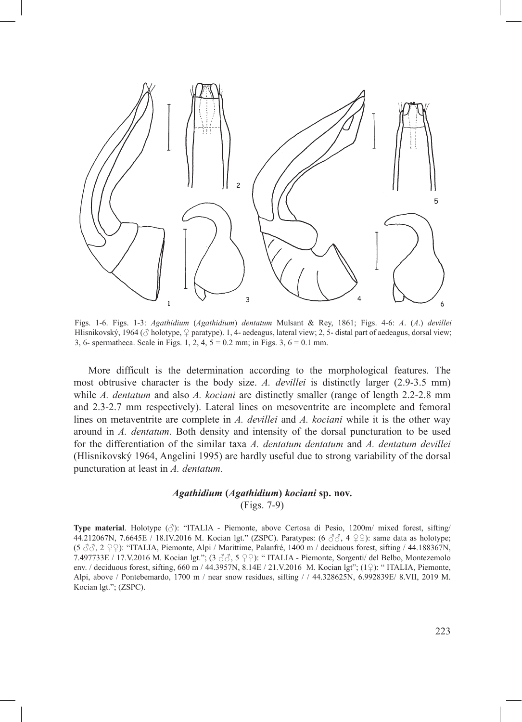

Figs. 1-6. Figs. 1-3: *Agathidium* (*Agathidium*) *dentatum* Mulsant & Rey, 1861; Figs. 4-6: *A*. (*A*.) *devillei* Hlisnikovský, 1964 ( $\circ$  holotype,  $\circ$  paratype). 1, 4- aedeagus, lateral view; 2, 5- distal part of aedeagus, dorsal view; 3, 6- spermatheca. Scale in Figs. 1, 2, 4, 5 = 0.2 mm; in Figs. 3, 6 = 0.1 mm.

More difficult is the determination according to the morphological features. The most obtrusive character is the body size. *A. devillei* is distinctly larger (2.9-3.5 mm) while *A. dentatum* and also *A. kociani* are distinctly smaller (range of length 2.2-2.8 mm and 2.3-2.7 mm respectively). Lateral lines on mesoventrite are incomplete and femoral lines on metaventrite are complete in *A. devillei* and *A. kociani* while it is the other way around in *A. dentatum*. Both density and intensity of the dorsal puncturation to be used for the differentiation of the similar taxa *A. dentatum dentatum* and *A. dentatum devillei* (Hlisnikovský 1964, Angelini 1995) are hardly useful due to strong variability of the dorsal puncturation at least in *A. dentatum*.

## *Agathidium* **(***Agathidium***)** *kociani* **sp. nov.** (Figs. 7-9)

**Type material**. Holotype (♂): "ITALIA - Piemonte, above Certosa di Pesio, 1200m/ mixed forest, sifting/ 44.212067N, 7.6645E / 18.IV.2016 M. Kocian lgt." (ZSPC). Paratypes:  $(6 \text{ } \mathcal{S} \mathcal{S}, 4 \text{ } \mathcal{Q} \mathcal{Q})$ : same data as holotype; (5 ♂♂, 2 ♀♀): "ITALIA, Piemonte, Alpi / Marittime, Palanfré, 1400 m / deciduous forest, sifting / 44.188367N, 7.497733E / 17.V.2016 M. Kocian lgt."; (3 ♂♂, 5 ♀♀): " ITALIA - Piemonte, Sorgenti/ del Belbo, Montezemolo env. / deciduous forest, sifting, 660 m / 44.3957N, 8.14E / 21.V.2016 M. Kocian lgt";  $(1\degree)$ : "ITALIA, Piemonte, Alpi, above / Pontebemardo, 1700 m / near snow residues, sifting / / 44.328625N, 6.992839E/ 8.VII, 2019 M. Kocian lgt."; (ZSPC).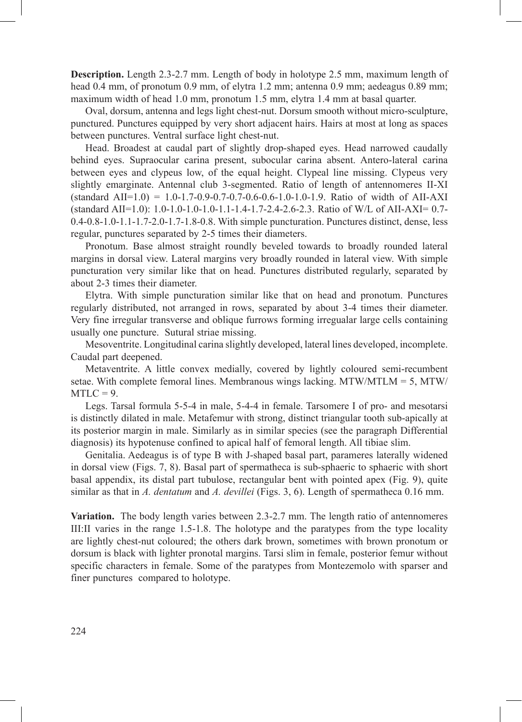**Description.** Length 2.3-2.7 mm. Length of body in holotype 2.5 mm, maximum length of head 0.4 mm, of pronotum 0.9 mm, of elytra 1.2 mm; antenna 0.9 mm; aedeagus 0.89 mm; maximum width of head 1.0 mm, pronotum 1.5 mm, elytra 1.4 mm at basal quarter.

Oval, dorsum, antenna and legs light chest-nut. Dorsum smooth without micro-sculpture, punctured. Punctures equipped by very short adjacent hairs. Hairs at most at long as spaces between punctures. Ventral surface light chest-nut.

Head. Broadest at caudal part of slightly drop-shaped eyes. Head narrowed caudally behind eyes. Supraocular carina present, subocular carina absent. Antero-lateral carina between eyes and clypeus low, of the equal height. Clypeal line missing. Clypeus very slightly emarginate. Antennal club 3-segmented. Ratio of length of antennomeres II-XI  $(\text{standard All}=1.0) = 1.0 - 1.7 - 0.9 - 0.7 - 0.7 - 0.6 - 0.6 - 1.0 - 1.9$ . Ratio of width of AII-AXI (standard AII=1.0): 1.0-1.0-1.0-1.0-1.1-1.4-1.7-2.4-2.6-2.3. Ratio of W/L of AII-AXI= 0.7- 0.4-0.8-1.0-1.1-1.7-2.0-1.7-1.8-0.8. With simple puncturation. Punctures distinct, dense, less regular, punctures separated by 2-5 times their diameters.

Pronotum. Base almost straight roundly beveled towards to broadly rounded lateral margins in dorsal view. Lateral margins very broadly rounded in lateral view. With simple puncturation very similar like that on head. Punctures distributed regularly, separated by about 2-3 times their diameter.

Elytra. With simple puncturation similar like that on head and pronotum. Punctures regularly distributed, not arranged in rows, separated by about 3-4 times their diameter. Very fine irregular transverse and oblique furrows forming irregualar large cells containing usually one puncture. Sutural striae missing.

Mesoventrite. Longitudinal carina slightly developed, lateral lines developed, incomplete. Caudal part deepened.

Metaventrite. A little convex medially, covered by lightly coloured semi-recumbent setae. With complete femoral lines. Membranous wings lacking. MTW/MTLM =  $5$ , MTW/  $MTLC = 9$ .

Legs. Tarsal formula 5-5-4 in male, 5-4-4 in female. Tarsomere I of pro- and mesotarsi is distinctly dilated in male. Metafemur with strong, distinct triangular tooth sub-apically at its posterior margin in male. Similarly as in similar species (see the paragraph Differential diagnosis) its hypotenuse confined to apical half of femoral length. All tibiae slim.

Genitalia. Aedeagus is of type B with J-shaped basal part, parameres laterally widened in dorsal view (Figs. 7, 8). Basal part of spermatheca is sub-sphaeric to sphaeric with short basal appendix, its distal part tubulose, rectangular bent with pointed apex (Fig. 9), quite similar as that in *A. dentatum* and *A. devillei* (Figs. 3, 6). Length of spermatheca 0.16 mm.

**Variation.** The body length varies between 2.3-2.7 mm. The length ratio of antennomeres III:II varies in the range 1.5-1.8. The holotype and the paratypes from the type locality are lightly chest-nut coloured; the others dark brown, sometimes with brown pronotum or dorsum is black with lighter pronotal margins. Tarsi slim in female, posterior femur without specific characters in female. Some of the paratypes from Montezemolo with sparser and finer punctures compared to holotype.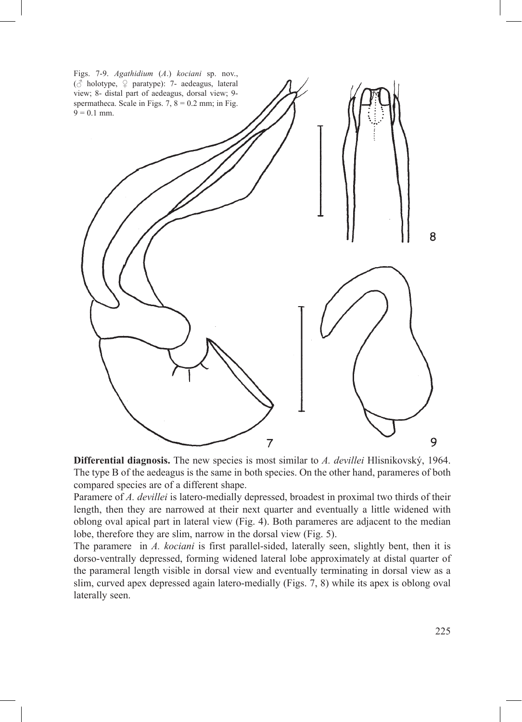

**Differential diagnosis.** The new species is most similar to *A. devillei* Hlisnikovský, 1964. The type B of the aedeagus is the same in both species. On the other hand, parameres of both compared species are of a different shape.

Paramere of *A. devillei* is latero-medially depressed, broadest in proximal two thirds of their length, then they are narrowed at their next quarter and eventually a little widened with oblong oval apical part in lateral view (Fig. 4). Both parameres are adjacent to the median lobe, therefore they are slim, narrow in the dorsal view (Fig. 5).

The paramere in *A. kociani* is first parallel-sided, laterally seen, slightly bent, then it is dorso-ventrally depressed, forming widened lateral lobe approximately at distal quarter of the parameral length visible in dorsal view and eventually terminating in dorsal view as a slim, curved apex depressed again latero-medially (Figs. 7, 8) while its apex is oblong oval laterally seen.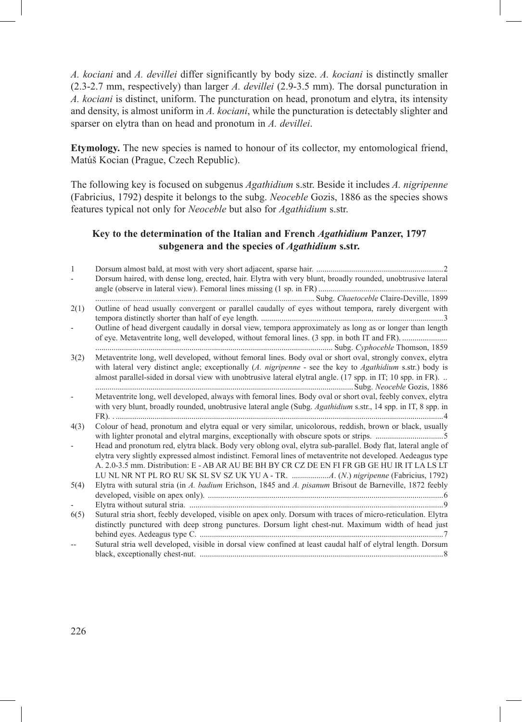*A. kociani* and *A. devillei* differ significantly by body size. *A. kociani* is distinctly smaller (2.3-2.7 mm, respectively) than larger *A. devillei* (2.9-3.5 mm). The dorsal puncturation in *A. kociani* is distinct, uniform. The puncturation on head, pronotum and elytra, its intensity and density, is almost uniform in *A. kociani*, while the puncturation is detectably slighter and sparser on elytra than on head and pronotum in *A. devillei*.

**Etymology.** The new species is named to honour of its collector, my entomological friend, Matúš Kocian (Prague, Czech Republic).

The following key is focused on subgenus *Agathidium* s.str. Beside it includes *A. nigripenne* (Fabricius, 1792) despite it belongs to the subg. *Neoceble* Gozis, 1886 as the species shows features typical not only for *Neoceble* but also for *Agathidium* s.str.

### **Key to the determination of the Italian and French** *Agathidium* **Panzer, 1797 subgenera and the species of** *Agathidium* **s.str.**

| 1    |                                                                                                                |
|------|----------------------------------------------------------------------------------------------------------------|
|      | Dorsum haired, with dense long, erected, hair. Elytra with very blunt, broadly rounded, unobtrusive lateral    |
|      |                                                                                                                |
| 2(1) | Outline of head usually convergent or parallel caudally of eyes without tempora, rarely divergent with         |
|      |                                                                                                                |
|      | Outline of head divergent caudally in dorsal view, tempora approximately as long as or longer than length      |
|      |                                                                                                                |
|      |                                                                                                                |
| 3(2) | Metaventrite long, well developed, without femoral lines. Body oval or short oval, strongly convex, elytra     |
|      | with lateral very distinct angle; exceptionally $(A.$ nigripenne - see the key to $Agathidium$ s.str.) body is |
|      | almost parallel-sided in dorsal view with unobtrusive lateral elytral angle. (17 spp. in IT; 10 spp. in FR).   |
|      |                                                                                                                |
|      | Metaventrite long, well developed, always with femoral lines. Body oval or short oval, feebly convex, elytra   |
|      | with very blunt, broadly rounded, unobtrusive lateral angle (Subg. Agathidium s.str., 14 spp. in IT, 8 spp. in |
|      |                                                                                                                |
| 4(3) | Colour of head, pronotum and elytra equal or very similar, unicolorous, reddish, brown or black, usually       |
|      |                                                                                                                |
|      | Head and pronotum red, elytra black. Body very oblong oval, elytra sub-parallel. Body flat, lateral angle of   |
|      | elytra very slightly expressed almost indistinct. Femoral lines of metaventrite not developed. Aedeagus type   |
|      | A. 2.0-3.5 mm. Distribution: E - AB AR AU BE BH BY CR CZ DE EN FI FR GB GE HU IR IT LA LS LT                   |
|      |                                                                                                                |
| 5(4) | Elytra with sutural stria (in A. badium Erichson, 1845 and A. pisanum Brisout de Barneville, 1872 feebly       |
|      |                                                                                                                |
|      |                                                                                                                |
| 6(5) | Sutural stria short, feebly developed, visible on apex only. Dorsum with traces of micro-reticulation. Elytra  |
|      | distinctly punctured with deep strong punctures. Dorsum light chest-nut. Maximum width of head just            |
|      |                                                                                                                |
|      | Sutural stria well developed, visible in dorsal view confined at least caudal half of elytral length. Dorsum   |
|      |                                                                                                                |
|      |                                                                                                                |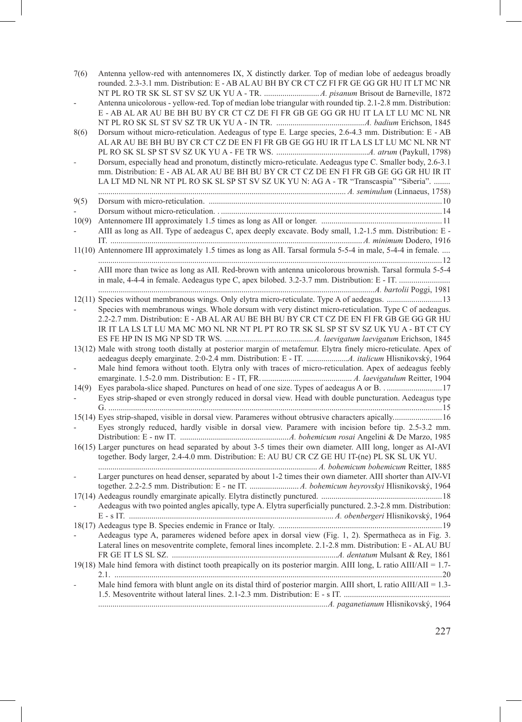| 7(6)<br>8(6) | Antenna yellow-red with antennomeres IX, X distinctly darker. Top of median lobe of aedeagus broadly<br>rounded. 2.3-3.1 mm. Distribution: E - AB AL AU BH BY CR CT CZ FI FR GE GG GR HU IT LT MC NR<br>Antenna unicolorous - yellow-red. Top of median lobe triangular with rounded tip. 2.1-2.8 mm. Distribution:<br>E - AB AL AR AU BE BH BU BY CR CT CZ DE FI FR GB GE GG GR HU IT LA LT LU MC NL NR<br>Dorsum without micro-reticulation. Aedeagus of type E. Large species, 2.6-4.3 mm. Distribution: E - AB<br>AL AR AU BE BH BU BY CR CT CZ DE EN FI FR GB GE GG HU IR IT LA LS LT LU MC NL NR NT<br>Dorsum, especially head and pronotum, distinctly micro-reticulate. Aedeagus type C. Smaller body, 2.6-3.1<br>mm. Distribution: E - AB AL AR AU BE BH BU BY CR CT CZ DE EN FI FR GB GE GG GR HU IR IT<br>LA LT MD NL NR NT PL RO SK SL SP ST SV SZ UK YU N: AG A - TR "Transcaspia" "Siberia". |
|--------------|------------------------------------------------------------------------------------------------------------------------------------------------------------------------------------------------------------------------------------------------------------------------------------------------------------------------------------------------------------------------------------------------------------------------------------------------------------------------------------------------------------------------------------------------------------------------------------------------------------------------------------------------------------------------------------------------------------------------------------------------------------------------------------------------------------------------------------------------------------------------------------------------------------|
| 9(5)         |                                                                                                                                                                                                                                                                                                                                                                                                                                                                                                                                                                                                                                                                                                                                                                                                                                                                                                            |
|              |                                                                                                                                                                                                                                                                                                                                                                                                                                                                                                                                                                                                                                                                                                                                                                                                                                                                                                            |
| 10(9)        |                                                                                                                                                                                                                                                                                                                                                                                                                                                                                                                                                                                                                                                                                                                                                                                                                                                                                                            |
|              | AIII as long as AII. Type of aedeagus C, apex deeply excavate. Body small, 1.2-1.5 mm. Distribution: E -                                                                                                                                                                                                                                                                                                                                                                                                                                                                                                                                                                                                                                                                                                                                                                                                   |
|              | 11(10) Antennomere III approximately 1.5 times as long as AII. Tarsal formula 5-5-4 in male, 5-4-4 in female.                                                                                                                                                                                                                                                                                                                                                                                                                                                                                                                                                                                                                                                                                                                                                                                              |
|              |                                                                                                                                                                                                                                                                                                                                                                                                                                                                                                                                                                                                                                                                                                                                                                                                                                                                                                            |
|              | AIII more than twice as long as AII. Red-brown with antenna unicolorous brownish. Tarsal formula 5-5-4                                                                                                                                                                                                                                                                                                                                                                                                                                                                                                                                                                                                                                                                                                                                                                                                     |
|              |                                                                                                                                                                                                                                                                                                                                                                                                                                                                                                                                                                                                                                                                                                                                                                                                                                                                                                            |
|              | 12(11) Species without membranous wings. Only elytra micro-reticulate. Type A of aedeagus.  13<br>Species with membranous wings. Whole dorsum with very distinct micro-reticulation. Type C of aedeagus.<br>2.2-2.7 mm. Distribution: E - AB AL AR AU BE BH BU BY CR CT CZ DE EN FI FR GB GE GG GR HU<br>IR IT LA LS LT LU MA MC MO NL NR NT PL PT RO TR SK SL SP ST SV SZ UK YU A - BT CT CY                                                                                                                                                                                                                                                                                                                                                                                                                                                                                                              |
|              |                                                                                                                                                                                                                                                                                                                                                                                                                                                                                                                                                                                                                                                                                                                                                                                                                                                                                                            |
|              | 13(12) Male with strong tooth distally at posterior margin of metafemur. Elytra finely micro-reticulate. Apex of                                                                                                                                                                                                                                                                                                                                                                                                                                                                                                                                                                                                                                                                                                                                                                                           |
|              | Male hind femora without tooth. Elytra only with traces of micro-reticulation. Apex of aedeagus feebly                                                                                                                                                                                                                                                                                                                                                                                                                                                                                                                                                                                                                                                                                                                                                                                                     |
| 14(9)        | Eyes parabola-slice shaped. Punctures on head of one size. Types of aedeagus A or B. 17                                                                                                                                                                                                                                                                                                                                                                                                                                                                                                                                                                                                                                                                                                                                                                                                                    |
|              | Eyes strip-shaped or even strongly reduced in dorsal view. Head with double puncturation. Aedeagus type                                                                                                                                                                                                                                                                                                                                                                                                                                                                                                                                                                                                                                                                                                                                                                                                    |
|              | 15(14) Eyes strip-shaped, visible in dorsal view. Parameres without obtrusive characters apically 16                                                                                                                                                                                                                                                                                                                                                                                                                                                                                                                                                                                                                                                                                                                                                                                                       |
|              | Eyes strongly reduced, hardly visible in dorsal view. Paramere with incision before tip. 2.5-3.2 mm.                                                                                                                                                                                                                                                                                                                                                                                                                                                                                                                                                                                                                                                                                                                                                                                                       |
|              | 16(15) Larger punctures on head separated by about 3-5 times their own diameter. AIII long, longer as AI-AVI<br>together. Body larger, 2.4-4.0 mm. Distribution: E: AU BU CR CZ GE HU IT-(ne) PL SK SL UK YU.                                                                                                                                                                                                                                                                                                                                                                                                                                                                                                                                                                                                                                                                                              |
|              |                                                                                                                                                                                                                                                                                                                                                                                                                                                                                                                                                                                                                                                                                                                                                                                                                                                                                                            |
|              | Larger punctures on head denser, separated by about 1-2 times their own diameter. AIII shorter than AIV-VI                                                                                                                                                                                                                                                                                                                                                                                                                                                                                                                                                                                                                                                                                                                                                                                                 |
|              |                                                                                                                                                                                                                                                                                                                                                                                                                                                                                                                                                                                                                                                                                                                                                                                                                                                                                                            |
|              | Aedeagus with two pointed angles apically, type A. Elytra superficially punctured. 2.3-2.8 mm. Distribution:                                                                                                                                                                                                                                                                                                                                                                                                                                                                                                                                                                                                                                                                                                                                                                                               |
|              |                                                                                                                                                                                                                                                                                                                                                                                                                                                                                                                                                                                                                                                                                                                                                                                                                                                                                                            |
|              | Aedeagus type A, parameres widened before apex in dorsal view (Fig. 1, 2). Spermatheca as in Fig. 3.<br>Lateral lines on mesoventrite complete, femoral lines incomplete. 2.1-2.8 mm. Distribution: E - AL AU BU                                                                                                                                                                                                                                                                                                                                                                                                                                                                                                                                                                                                                                                                                           |
|              |                                                                                                                                                                                                                                                                                                                                                                                                                                                                                                                                                                                                                                                                                                                                                                                                                                                                                                            |
|              | 19(18) Male hind femora with distinct tooth preapically on its posterior margin. AIII long, L ratio AIII/AII = 1.7-                                                                                                                                                                                                                                                                                                                                                                                                                                                                                                                                                                                                                                                                                                                                                                                        |
|              | Male hind femora with blunt angle on its distal third of posterior margin. AIII short, L ratio AIII/AII = 1.3-                                                                                                                                                                                                                                                                                                                                                                                                                                                                                                                                                                                                                                                                                                                                                                                             |
|              |                                                                                                                                                                                                                                                                                                                                                                                                                                                                                                                                                                                                                                                                                                                                                                                                                                                                                                            |
|              |                                                                                                                                                                                                                                                                                                                                                                                                                                                                                                                                                                                                                                                                                                                                                                                                                                                                                                            |